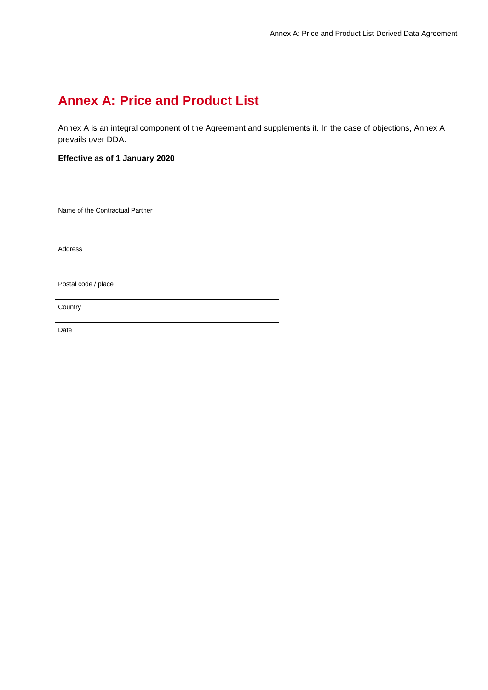# **Annex A: Price and Product List**

Annex A is an integral component of the Agreement and supplements it. In the case of objections, Annex A prevails over DDA.

**Effective as of 1 January 2020**

Name of the Contractual Partner

Address

Postal code / place

**Country** 

Date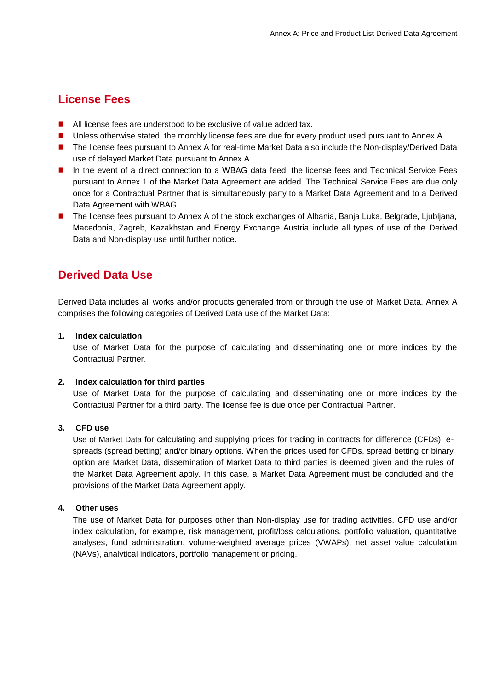### **License Fees**

- **All license fees are understood to be exclusive of value added tax.**
- **Unless otherwise stated, the monthly license fees are due for every product used pursuant to Annex A.**
- The license fees pursuant to Annex A for real-time Market Data also include the Non-display/Derived Data use of delayed Market Data pursuant to Annex A
- In the event of a direct connection to a WBAG data feed, the license fees and Technical Service Fees pursuant to Annex 1 of the Market Data Agreement are added. The Technical Service Fees are due only once for a Contractual Partner that is simultaneously party to a Market Data Agreement and to a Derived Data Agreement with WBAG.
- The license fees pursuant to Annex A of the stock exchanges of Albania, Banja Luka, Belgrade, Ljubljana, Macedonia, Zagreb, Kazakhstan and Energy Exchange Austria include all types of use of the Derived Data and Non-display use until further notice.

### **Derived Data Use**

Derived Data includes all works and/or products generated from or through the use of Market Data. Annex A comprises the following categories of Derived Data use of the Market Data:

#### **1. Index calculation**

Use of Market Data for the purpose of calculating and disseminating one or more indices by the Contractual Partner.

#### **2. Index calculation for third parties**

Use of Market Data for the purpose of calculating and disseminating one or more indices by the Contractual Partner for a third party. The license fee is due once per Contractual Partner.

#### **3. CFD use**

Use of Market Data for calculating and supplying prices for trading in contracts for difference (CFDs), espreads (spread betting) and/or binary options. When the prices used for CFDs, spread betting or binary option are Market Data, dissemination of Market Data to third parties is deemed given and the rules of the Market Data Agreement apply. In this case, a Market Data Agreement must be concluded and the provisions of the Market Data Agreement apply.

#### **4. Other uses**

The use of Market Data for purposes other than Non-display use for trading activities, CFD use and/or index calculation, for example, risk management, profit/loss calculations, portfolio valuation, quantitative analyses, fund administration, volume-weighted average prices (VWAPs), net asset value calculation (NAVs), analytical indicators, portfolio management or pricing.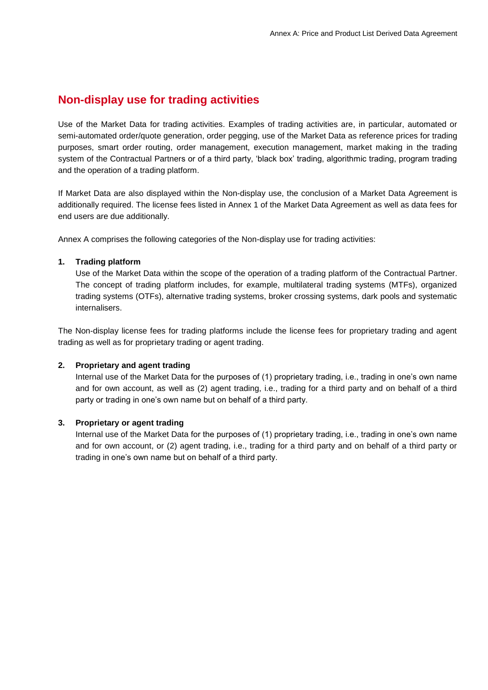### **Non-display use for trading activities**

Use of the Market Data for trading activities. Examples of trading activities are, in particular, automated or semi-automated order/quote generation, order pegging, use of the Market Data as reference prices for trading purposes, smart order routing, order management, execution management, market making in the trading system of the Contractual Partners or of a third party, 'black box' trading, algorithmic trading, program trading and the operation of a trading platform.

If Market Data are also displayed within the Non-display use, the conclusion of a Market Data Agreement is additionally required. The license fees listed in Annex 1 of the Market Data Agreement as well as data fees for end users are due additionally.

Annex A comprises the following categories of the Non-display use for trading activities:

#### **1. Trading platform**

Use of the Market Data within the scope of the operation of a trading platform of the Contractual Partner. The concept of trading platform includes, for example, multilateral trading systems (MTFs), organized trading systems (OTFs), alternative trading systems, broker crossing systems, dark pools and systematic internalisers.

The Non-display license fees for trading platforms include the license fees for proprietary trading and agent trading as well as for proprietary trading or agent trading.

#### **2. Proprietary and agent trading**

Internal use of the Market Data for the purposes of (1) proprietary trading, i.e., trading in one's own name and for own account, as well as (2) agent trading, i.e., trading for a third party and on behalf of a third party or trading in one's own name but on behalf of a third party.

#### **3. Proprietary or agent trading**

Internal use of the Market Data for the purposes of (1) proprietary trading, i.e., trading in one's own name and for own account, or (2) agent trading, i.e., trading for a third party and on behalf of a third party or trading in one's own name but on behalf of a third party.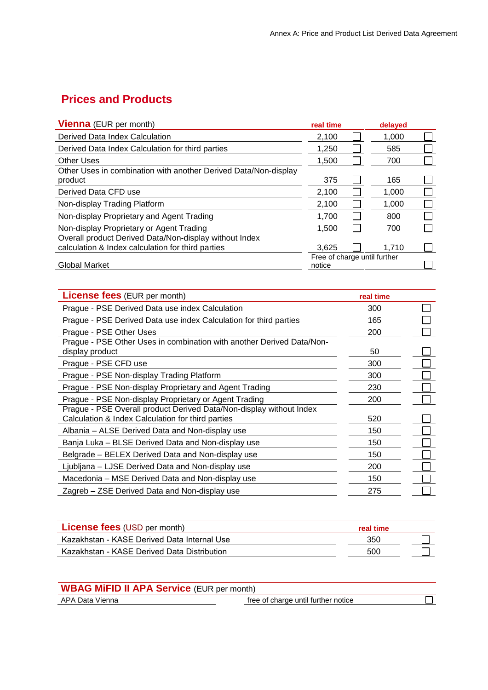## **Prices and Products**

| <b>Vienna</b> (EUR per month)                                              | real time                              | delayed |  |
|----------------------------------------------------------------------------|----------------------------------------|---------|--|
| Derived Data Index Calculation                                             | 2,100                                  | 1,000   |  |
| Derived Data Index Calculation for third parties                           | 1,250                                  | 585     |  |
| <b>Other Uses</b>                                                          | 1.500                                  | 700     |  |
| Other Uses in combination with another Derived Data/Non-display<br>product | 375                                    | 165     |  |
| Derived Data CFD use                                                       | 2.100                                  | 1.000   |  |
| Non-display Trading Platform                                               | 2.100                                  | 1.000   |  |
| Non-display Proprietary and Agent Trading                                  | 1,700                                  | 800     |  |
| Non-display Proprietary or Agent Trading                                   | 1,500                                  | 700     |  |
| Overall product Derived Data/Non-display without Index                     |                                        |         |  |
| calculation & Index calculation for third parties                          | 3.625                                  | 1.710   |  |
| <b>Global Market</b>                                                       | Free of charge until further<br>notice |         |  |

| <b>License fees</b> (EUR per month)                                                                                      | real time |  |
|--------------------------------------------------------------------------------------------------------------------------|-----------|--|
| Prague - PSE Derived Data use index Calculation                                                                          | 300       |  |
| Prague - PSE Derived Data use index Calculation for third parties                                                        | 165       |  |
| Prague - PSE Other Uses                                                                                                  | 200       |  |
| Prague - PSE Other Uses in combination with another Derived Data/Non-<br>display product                                 | 50        |  |
| Prague - PSE CFD use                                                                                                     | 300       |  |
| Prague - PSE Non-display Trading Platform                                                                                | 300       |  |
| Prague - PSE Non-display Proprietary and Agent Trading                                                                   | 230       |  |
| Prague - PSE Non-display Proprietary or Agent Trading                                                                    | 200       |  |
| Prague - PSE Overall product Derived Data/Non-display without Index<br>Calculation & Index Calculation for third parties | 520       |  |
| Albania – ALSE Derived Data and Non-display use                                                                          | 150       |  |
| Banja Luka - BLSE Derived Data and Non-display use                                                                       | 150       |  |
| Belgrade - BELEX Derived Data and Non-display use                                                                        | 150       |  |
| Ljubljana - LJSE Derived Data and Non-display use                                                                        | 200       |  |
| Macedonia - MSE Derived Data and Non-display use                                                                         | 150       |  |
| Zagreb – ZSE Derived Data and Non-display use                                                                            | 275       |  |

| <b>License fees</b> (USD per month)         | real time |  |
|---------------------------------------------|-----------|--|
| Kazakhstan - KASE Derived Data Internal Use | 350       |  |
| Kazakhstan - KASE Derived Data Distribution | 500       |  |

| <b>WBAG MIFID II APA Service (EUR per month)</b> |  |
|--------------------------------------------------|--|
|                                                  |  |

APA Data Vienna **free** of charge until further notice

 $\overline{\Box}$